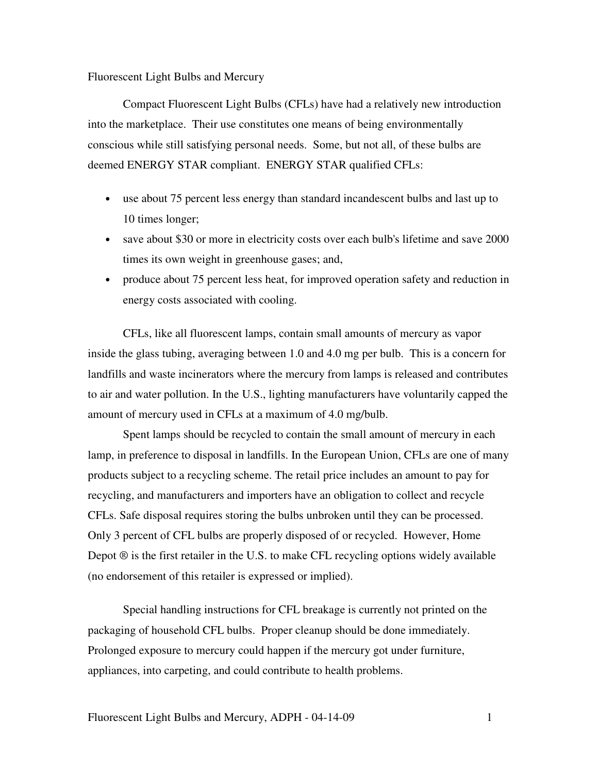## Fluorescent Light Bulbs and Mercury

Compact Fluorescent Light Bulbs (CFLs) have had a relatively new introduction into the marketplace. Their use constitutes one means of being environmentally conscious while still satisfying personal needs. Some, but not all, of these bulbs are deemed ENERGY STAR compliant. ENERGY STAR qualified CFLs:

- use about 75 percent less energy than standard incandescent bulbs and last up to 10 times longer;
- save about \$30 or more in electricity costs over each bulb's lifetime and save 2000 times its own weight in greenhouse gases; and,
- produce about 75 percent less heat, for improved operation safety and reduction in energy costs associated with cooling.

 CFLs, like all fluorescent lamps, contain small amounts of mercury as vapor inside the glass tubing, averaging between 1.0 and 4.0 mg per bulb. This is a concern for landfills and waste incinerators where the mercury from lamps is released and contributes to air and water pollution. In the U.S., lighting manufacturers have voluntarily capped the amount of mercury used in CFLs at a maximum of 4.0 mg/bulb.

 Spent lamps should be recycled to contain the small amount of mercury in each lamp, in preference to disposal in landfills. In the European Union, CFLs are one of many products subject to a recycling scheme. The retail price includes an amount to pay for recycling, and manufacturers and importers have an obligation to collect and recycle CFLs. Safe disposal requires storing the bulbs unbroken until they can be processed. Only 3 percent of CFL bulbs are properly disposed of or recycled. However, Home Depot  $\circledR$  is the first retailer in the U.S. to make CFL recycling options widely available (no endorsement of this retailer is expressed or implied).

 Special handling instructions for CFL breakage is currently not printed on the packaging of household CFL bulbs. Proper cleanup should be done immediately. Prolonged exposure to mercury could happen if the mercury got under furniture, appliances, into carpeting, and could contribute to health problems.